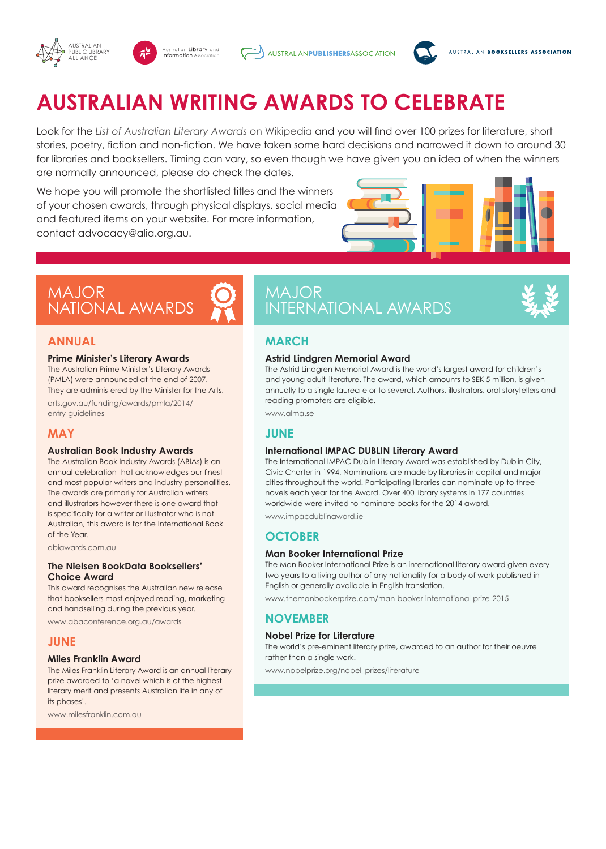







# **AUSTRALIAN WRITING AWARDS TO CELEBRATE**

Look for the *List of Australian Literary Awards* on Wikipedia and you will find over 100 prizes for literature, short stories, poetry, fiction and non-fiction. We have taken some hard decisions and narrowed it down to around 30 for libraries and booksellers. Timing can vary, so even though we have given you an idea of when the winners are normally announced, please do check the dates.

We hope you will promote the shortlisted titles and the winners of your chosen awards, through physical displays, social media and featured items on your website. For more information, contact advocacy@alia.org.au.



# MAJOR NATIONAL AWARDS

## **ANNUAL**

### **Prime Minister's Literary Awards**

The Australian Prime Minister's Literary Awards (PMLA) were announced at the end of 2007. They are administered by the Minister for the Arts.

arts.gov.au/funding/awards/pmla/2014/ entry-guidelines

### **MAY**

### **Australian Book Industry Awards**

The Australian Book Industry Awards (ABIAs) is an annual celebration that acknowledges our finest and most popular writers and industry personalities. The awards are primarily for Australian writers and illustrators however there is one award that is specifically for a writer or illustrator who is not Australian, this award is for the International Book of the Year.

abiawards.com.au

### **The Nielsen BookData Booksellers' Choice Award**

This award recognises the Australian new release that booksellers most enjoyed reading, marketing and handselling during the previous year.

www.abaconference.org.au/awards

### **JUNE**

### **Miles Franklin Award**

The Miles Franklin Literary Award is an annual literary prize awarded to 'a novel which is of the highest literary merit and presents Australian life in any of its phases'.

www.milesfranklin.com.au

# MAJOR INTERNATIONAL AWARDS

# **MARCH**

### **Astrid Lindgren Memorial Award**

The Astrid Lindgren Memorial Award is the world's largest award for children's and young adult literature. The award, which amounts to SEK 5 million, is given annually to a single laureate or to several. Authors, illustrators, oral storytellers and reading promoters are eligible.

www.alma.se

# **JUNE**

### **International IMPAC DUBLIN Literary Award**

The International IMPAC Dublin Literary Award was established by Dublin City, Civic Charter in 1994. Nominations are made by libraries in capital and major cities throughout the world. Participating libraries can nominate up to three novels each year for the Award. Over 400 library systems in 177 countries worldwide were invited to nominate books for the 2014 award.

www.impacdublinaward.ie

# **OCTOBER**

### **Man Booker International Prize**

The Man Booker International Prize is an international literary award given every two years to a living author of any nationality for a body of work published in English or generally available in English translation.

www.themanbookerprize.com/man-booker-international-prize-2015

# **NOVEMBER**

### **Nobel Prize for Literature**

The world's pre-eminent literary prize, awarded to an author for their oeuvre rather than a single work.

www.nobelprize.org/nobel\_prizes/literature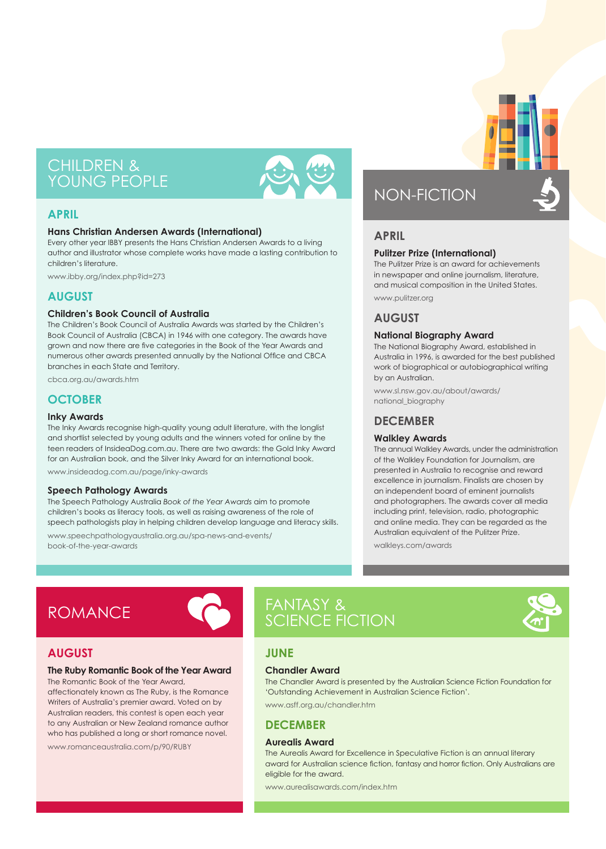# CHILDREN & YOUNG PEOPLE



# **APRIL**

### **Hans Christian Andersen Awards (International)**

Every other year IBBY presents the Hans Christian Andersen Awards to a living author and illustrator whose complete works have made a lasting contribution to children's literature.

www.ibby.org/index.php?id=273

# **AUGUST**

### **Children's Book Council of Australia**

The Children's Book Council of Australia Awards was started by the Children's Book Council of Australia (CBCA) in 1946 with one category. The awards have grown and now there are five categories in the Book of the Year Awards and numerous other awards presented annually by the National Office and CBCA branches in each State and Territory.

cbca.org.au/awards.htm

# **OCTOBER**

### **Inky Awards**

The Inky Awards recognise high-quality young adult literature, with the longlist and shortlist selected by young adults and the winners voted for online by the teen readers of InsideaDog.com.au. There are two awards: the Gold Inky Award for an Australian book, and the Silver Inky Award for an international book.

www.insideadog.com.au/page/inky-awards

### **Speech Pathology Awards**

The Speech Pathology Australia *Book of the Year Awards* aim to promote children's books as literacy tools, as well as raising awareness of the role of speech pathologists play in helping children develop language and literacy skills.

www.speechpathologyaustralia.org.au/spa-news-and-events/ book-of-the-year-awards

# NON-FICTION

# **APRIL**

### **Pulitzer Prize (International)**

The Pulitzer Prize is an award for achievements in newspaper and online journalism, literature, and musical composition in the United States. www.pulitzer.org

# **AUGUST**

### **National Biography Award**

The National Biography Award, established in Australia in 1996, is awarded for the best published work of biographical or autobiographical writing by an Australian.

www.sl.nsw.gov.au/about/awards/ national\_biography

### **DECEMBER**

### **Walkley Awards**

The annual Walkley Awards, under the administration of the Walkley Foundation for Journalism, are presented in Australia to recognise and reward excellence in journalism. Finalists are chosen by an independent board of eminent journalists and photographers. The awards cover all media including print, television, radio, photographic and online media. They can be regarded as the Australian equivalent of the Pulitzer Prize.

walkleys.com/awards

# ROMANCE



# FANTASY & SCIENCE FICTION



# **AUGUST**

## **The Ruby Romantic Book of the Year Award**

The Romantic Book of the Year Award, affectionately known as The Ruby, is the Romance Writers of Australia's premier award. Voted on by Australian readers, this contest is open each year to any Australian or New Zealand romance author who has published a long or short romance novel.

www.romanceaustralia.com/p/90/RUBY



# **Chandler Award**

The Chandler Award is presented by the Australian Science Fiction Foundation for 'Outstanding Achievement in Australian Science Fiction'.

www.asff.org.au/chandler.htm

# **DECEMBER**

### **Aurealis Award**

The Aurealis Award for Excellence in Speculative Fiction is an annual literary award for Australian science fiction, fantasy and horror fiction. Only Australians are eligible for the award.

www.aurealisawards.com/index.htm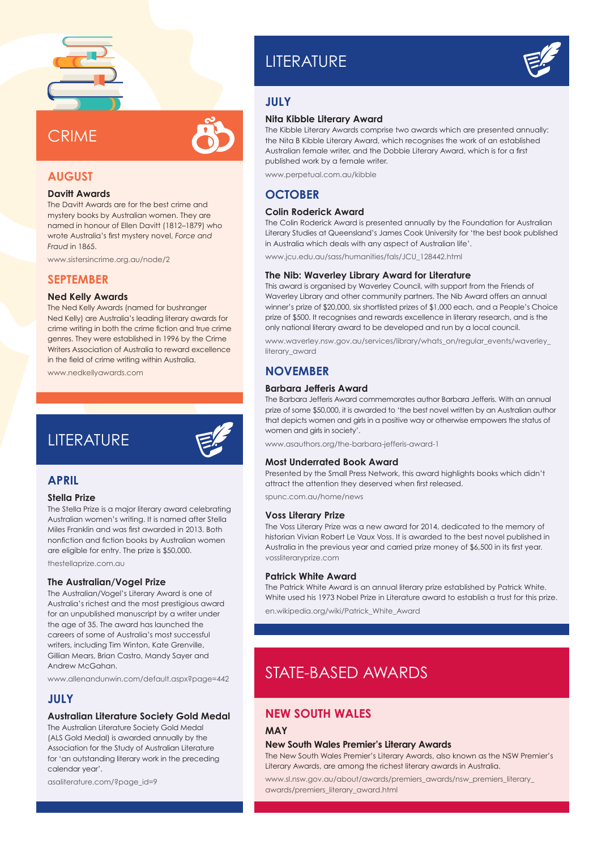

# **CRIMF**



### **AUGUST Davitt Awards**

The Davitt Awards are for the best crime and mystery books by Australian women. They are named in honour of Ellen Davitt (1812–1879) who wrote Australia's first mystery novel, *Force and* 

www.sistersincrime.org.au/node/2

### **SEPTEMBER**

*Fraud* in 1865.

#### **Ned Kelly Awards**

The Ned Kelly Awards (named for bushranger Ned Kelly) are Australia's leading literary awards for crime writing in both the crime fiction and true crime genres. They were established in 1996 by the Crime Writers Association of Australia to reward excellence in the field of crime writing within Australia.

www.nedkellyawards.com

# **LITERATURE**



### **APRIL**

#### **Stella Prize**

The Stella Prize is a major literary award celebrating Australian women's writing. It is named after Stella Miles Franklin and was first awarded in 2013. Both nonfiction and fiction books by Australian women are eligible for entry. The prize is \$50,000.

thestellaprize.com.au

#### **The Australian/Vogel Prize**

The Australian/Vogel's Literary Award is one of Australia's richest and the most prestigious award for an unpublished manuscript by a writer under the age of 35. The award has launched the careers of some of Australia's most successful writers, including Tim Winton, Kate Grenville, Gillian Mears, Brian Castro, Mandy Sayer and Andrew McGahan.

www.allenandunwin.com/default.aspx?page=442

### **JULY**

### **Australian Literature Society Gold Medal**

The Australian Literature Society Gold Medal (ALS Gold Medal) is awarded annually by the Association for the Study of Australian Literature for 'an outstanding literary work in the preceding calendar year'.

asaliterature.com/?page\_id=9

# **LITERATURE**



# **JULY**

### **Nita Kibble Literary Award**

The Kibble Literary Awards comprise two awards which are presented annually: the Nita B Kibble Literary Award, which recognises the work of an established Australian female writer, and the Dobbie Literary Award, which is for a first published work by a female writer.

www.perpetual.com.au/kibble

# **OCTOBER**

#### **Colin Roderick Award**

The Colin Roderick Award is presented annually by the Foundation for Australian Literary Studies at Queensland's James Cook University for 'the best book published in Australia which deals with any aspect of Australian life'.

www.jcu.edu.au/sass/humanities/fals/JCU\_128442.html

### **The Nib: Waverley Library Award for Literature**

This award is organised by Waverley Council, with support from the Friends of Waverley Library and other community partners. The Nib Award offers an annual winner's prize of \$20,000, six shortlisted prizes of \$1,000 each, and a People's Choice prize of \$500. It recognises and rewards excellence in literary research, and is the only national literary award to be developed and run by a local council.

www.waverley.nsw.gov.au/services/library/whats\_on/regular\_events/waverley\_ literary\_award

# **NOVEMBER**

### **Barbara Jefferis Award**

The Barbara Jefferis Award commemorates author Barbara Jefferis. With an annual prize of some \$50,000, it is awarded to 'the best novel written by an Australian author that depicts women and girls in a positive way or otherwise empowers the status of women and girls in society'.

www.asauthors.org/the-barbara-jefferis-award-1

### **Most Underrated Book Award**

Presented by the Small Press Network, this award highlights books which didn't attract the attention they deserved when first released.

spunc.com.au/home/news

#### **Voss Literary Prize**

The Voss Literary Prize was a new award for 2014, dedicated to the memory of historian Vivian Robert Le Vaux Voss. It is awarded to the best novel published in Australia in the previous year and carried prize money of \$6,500 in its first year. vossliteraryprize.com

#### **Patrick White Award**

The Patrick White Award is an annual literary prize established by Patrick White. White used his 1973 Nobel Prize in Literature award to establish a trust for this prize. en.wikipedia.org/wiki/Patrick\_White\_Award

# STATE-BASED AWARDS

### **NEW SOUTH WALES**

### **MAY**

#### **New South Wales Premier's Literary Awards**

The New South Wales Premier's Literary Awards, also known as the NSW Premier's Literary Awards, are among the richest literary awards in Australia.

www.sl.nsw.gov.au/about/awards/premiers\_awards/nsw\_premiers\_literary\_ awards/premiers\_literary\_award.html